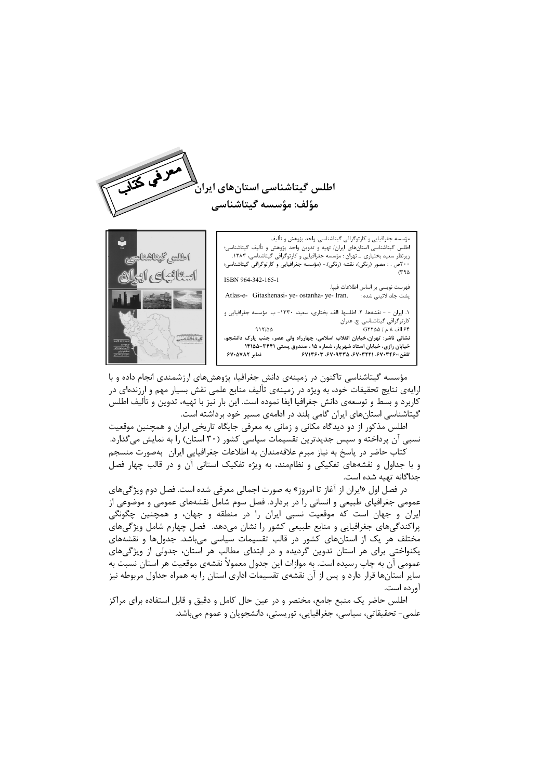

مه جغرافیایی و کارتوگرافی گیتاشناسی. واحد پژوهش و تألیف. .<br>اطلس گیتاشناسی استانهای ایران/ تهیه و تدوین واحد پژوهش و تألیف گیتاشناسی؛ زیرنظر سعید بختیاری. ـ تهران : مؤسسه جغرافیایی و کارتوگرافی گیتاشناسی، ۱۳۸۳. ۲۰۰ص . : مصور (رنگی)، نقشه (رنگی).- (مؤسسه جغرافیایی و کارتوگرافی گیتاشناسی؛  $C^{q}$ ISBN 964-342-165-1 فهرست نويسي بر اساس اطلاعات فيپا. Atlas-e- Gitashenasi- ye- ostanha- ye- Iran. یشت جلد لاتینی شده : ١. ايران - - نقشهها. ٢. اطلسها. الف. بختارى، سعيد، ١٣٣٠- ب. مؤسسه جغرافيايي و کارتوگرافی گیتاشناسی. ج. عنوان ۶۴ الف ۸ م / G۲۲۵۵  $915/00$ نشانی ناشر: تهران،خیابان انقلاب اسلامی، چهارراه ولی عصر، جنب پارک دانشجو،

خیابان رازی، خیابان استاد شهریار، شماره ۱۵ ، صندوق پستی ۳۴۴۱-۱۴۱۵۵

تلفن:۶۷۱۳۶۰۳، ۶۷۰۹۳۳۵، ۶۷۱۳۶۰۳، ۶۷۱۳۶۰۳



مؤسسه گیتاشناسی تاکنون در زمینهی دانش جغرافیا، پژوهشهای ارزشمندی انجام داده و با ارایهی نتایج تحقیقات خود، به ویژه در زمینهی تألیف منابع علمی نقش بسیار مهم و ارزندهای در کاربرد و بسط و توسعهی دانش جغرافیا ایفا نموده است. این بار نیز با تهیه، تدوین و تألیف اطلس گیتاشناسی استانهای ایران گامی بلند در ادامهی مسیر خود برداشته است.

نمابر ۶۷۰۵۷۸۲

اطلس مذکور از دو دیدگاه مکانی و زمانی به معرفی جایگاه تاریخی ایران و همچنین موقعیت نسبی آن پرداخته و سپس جدیدترین تقسیمات سیاسی کشور (۳۰ استان) را به نمایش میگذارد. کتاب حاضر در پاسخ به نیاز مبرم علاقهمندان به اطلاعات جغرافیایی ایران بهصورت منسجم

و با جداول و نقشههای تفکیکی و نظاممند، به ویژه تفکیک استانی آن و در قالب چهار فصل جداگانه تهیه شده است.

در فصل اول «ایران از آغاز تا امروز» به صورت اجمالی معرفی شده است. فصل دوم ویژگیهای عمومی جغرافیای طبیعی و انسانی را در بردارد. فصل سوم شامل نقشههای عمومی و موضوعی از ایران و جهان است که موقعیت نسبی ایران را در منطقه و جهان، و همچنین چگونگی پراکندگیهای جغرافیایی و منابع طبیعی کشور را نشان میدهد. فصل چهارم شامل ویژگیهای مختلف هر یک از استانهای کشور در قالب تقسیمات سیاسی میباشد. جدولها و نقشههای یکنواختی برای هر استان تدوین گردیده و در ابتدای مطالب هر استان، جدولی از ویژگیهای عمومي آن به چاپ رسيده است. به موازات اين جدول معمولاً نقشهي موقعيت هر استان نسبت به سایر استانها قرار دارد و پس از آن نقشهی تقسیمات اداری استان را به همراه جداول مربوطه نیز آورده است.

اطلس حاضر یک منبع جامع، مختصر و در عین حال کامل و دقیق و قابل استفاده برای مراکز علمي- تحقيقاتي، سياسي، جغرافيايي، توريستي، دانشجويان و عموم مي باشد.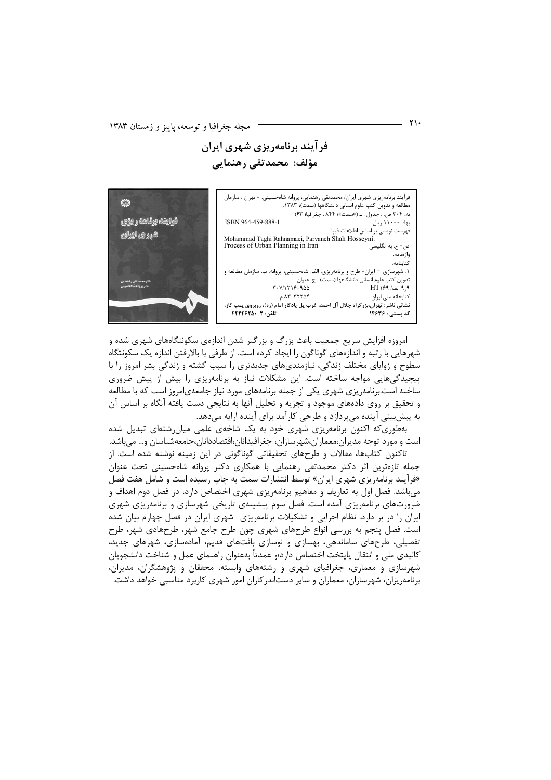فر آیند برنامهریزی شهری ایران مؤلف: محمدتقى رهنمايي

فرآیند برنامهریزی شهری ایران/ محمدتقی رهنمایی، پروانه شاهحسینی. - تهران : سازمان مطالعه و تدوین کتب علوم انسانی دانشگاهها (سمت)، ۱۳۸۳. نه، ۲۰۴ ص. : جدول . ـ («سمت»؛ ۸۴۴ : جغرافيا؛ ۶۳) بها: ۱۱۰۰۰ ريال. ISBN 964-459-888-1 ۔<br>فهرست نویسی بر اساس اطلاعات فییا. Mohammad Taghi Rahnamaei, Parvaneh Shah Hosseyni. ص • ع. به انگلي Process of Urban Planning in Iran ەا: ەنامە. ر .<br>کتابنامه. ١. شهرسازي - ايران- طرح و برنامهريزي. الف. شاهحسيني، پروانه. ب. سازمان مطالعه و تدوين كتب علوم انساني دانشگاهها (سمت) . ج. عنوان .  $T - Y/1719 - 900$  $HT$ او الف/ ۱۶۹ كتابخانه ملي ايران  $AT-TYY\Delta f$ نشانی ناشر: تهران،بزرگراه جلال آل احمد، غرب پل یادگار امام (ره)، روبروی پمپ گاز، تلفن: ٢-٢٢٢٤٢٥٠ کد پستی : ۱۴۶۳۶



امروزه افزایش سریع جمعیت باعث بزرگ و بزرگتر شدن اندازهی سکونتگاههای شهری شده و شهرهایی با رتبه و اندازههای گوناگون را ایجاد کرده است. از طرفی با بالارفتن اندازه یک سکونتگاه سطوح و زوایای مختلف زندگی، نیازمندیهای جدیدتری را سبب گشته و زندگی بشر امروز را با پیچیدگیهایی مواجه ساخته است. این مشکلات نیاز به برنامهریزی را بیش از پیش ضروری ساخته است.برنامهریزی شهری یکی از جمله برنامههای مورد نیاز جامعهی|مروز است که با مطالعه و تحقیق بر روی دادههای موجود و تجزیه و تحلیل آنها به نتایجی دست یافته آنگاه بر اساس آن به پیشبینی آینده میپردازد و طرحی کارآمد برای آینده ارایه میدهد.

بهطوری که اکنون برنامهریزی شهری خود به یک شاخهی علمی میان رشتهای تبدیل شده است و مورد توجه مدیران،معماران،شهرسازان، جغرافیدانان،اقتصاددانان،جامعهشناسان و... می باشد.

تاکنون کتابها، مقالات و طرحهای تحقیقاتی گوناگونی در این زمینه نوشته شده است. از جمله تازهترین اثر دکتر محمدتقی رهنمایی با همکاری دکتر پروانه شاهحسینی تحت عنوان «فرآیند برنامهریزی شهری ایران» توسط انتشارات سمت به چاپ رسیده است و شامل هفت فصل می باشد. فصل اول به تعاریف و مفاهیم برنامه پزی شهری اختصاص دارد، در فصل دوم اهداف و ضرورتهای برنامهریزی آمده است. فصل سوم پیشینهی تاریخی شهرسازی و برنامهریزی شهری ایران را در بر دارد. نظام اجرایی و تشکیلات برنامهریزی ِ شهری ایران در فصل چهارم بیان شده است. فصل پنجم به بررسی انواع طرحهای شهری چون طرح جامع شهر، طرحهادی شهر، طرح تفصیلی، طرحهای ساماندهی، بهسازی و نوسازی بافتهای قدیم، آمادهسازی، شهرهای جدید، كالبدى ملى و انتقال پايتخت اختصاص دارد؛و عمدتاً بهعنوان راهنماي عمل و شناخت دانشجويان شهرسازی و معماری، جغرافیای شهری و رشتههای وابسته، محققان و پژوهشگران، مدیران، برنامهریزان، شهرسازان، معماران و سایر دستاندر کاران امور شهری کاربرد مناسبی خواهد داشت.

۲۱۰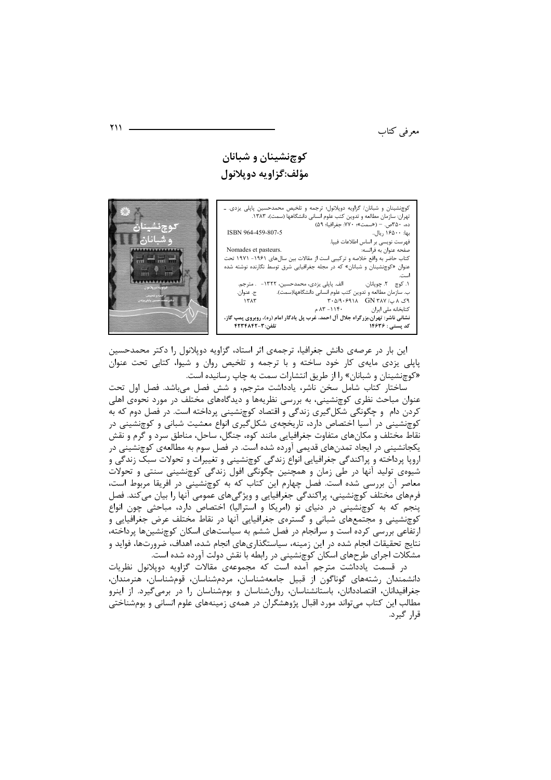معرفی کتاب

## کوچنشینان و شبانان مؤلف:گزاويه دوپلانول

کوچنشینان و شبانان/ گزاویه دوپلانول؛ ترجمه و تلخیص محمدحسین پاپلی یزدی. ـ ده، ۳۵۰ص. – («سمت»؛ ۷۷۰: جغرافیا؛ ۵۹) بها: ۱۶۵۰۰ ريال.. ISBN 964-459-807-5 .<br>فهرست نويسي بر اساس اطلاعات فييا. Nomades et pasteurs. صفحه عنوان به فرانسه: کتاب حاضر به واقع خلاصه و ترکیبی است از مقالات بین سالهای ۱۹۶۱- ۱۹۷۱ تحت عنوان «کوچنشینان و شبانان» که در مجله جغرافیایی شرق توسط نگارنده نوشته شده الف. پاپلی یزدی، محمدحسین، ۱۳۲۲- . مترجم. ١. کوچ ٢. چوپانان. ج. عنوان. . سازمان مطالعه و تدوین کتب علوم انسانی دانشگاهها(سمت).  $157$  $\mathsf{F\cdot \Delta} \mathsf{A\cdot \mathsf{F4}} \mathsf{A\cdot A}$  GN  $\mathsf{Y\!}\mathsf{A\vee \mathsf{A}}$  $AY - 11Y$ كتابخانه ملى ايران نشانی ناشر : تهران،بزرگراه جلال آل احمد، غرب پل یادگار امام (ره)، روبروی پمپ گاز، تلفن: ۴۲۳۴۸۴۲-کد پستی : ۱۴۶۳۶



این بار در عرصهی دانش جغرافیا، ترجمهی اثر استاد، گزاویه دوپلانول را دکتر محمدحسین پاپلی پزدی مایهی کار خود ساخته و با ترجمه و تلخیص روان و شیوا، کتابی تحت عنوان «کوچنشینان و شبانان» را از طریق انتشارات سمت به چاپ رسانیده است.

ساختار كتاب شامل سخن ناشر، يادداشت مترجم، و شش فصل مى باشد. فصل اول تحت عنوان مباحث نظری کوچنشینی، به بررسی نظریهها و دیدگاههای مختلف در مورد نحوهی اهلی کردن دام و چگونگی شکل گیری زندگی و اقتصاد کوچنشینی پرداخته است. در فصل دوم که به کوچنشینی در آسیا اختصاص دارد، تاریخچهی شکل گیری انواع معشیت شبانی و کوچنشینی در نقاط مختلف و مکانهای متفاوت جغرافیایی مانند کوه، جنگل، ساحل، مناطق سرد و گرم و نقش یکجانشینی در ایجاد تمدنهای قدیمی آورده شده است. در فصل سوم به مطالعهی کوچنشینی در اروپا پرداخته و پراکندگی جغرافیایی انواع زندگی کوچنشینی و تغییرات و تحولات سبک زندگی و شیوهی تولید آنها در طی زمان و همچنین چگونگی افول زندگی کوچنشینی سنتی و تحولات<br>معاصر آن بررسی شده است. فصل چهارم این کتاب که به کوچنشینی در افریقا مربوط است، فرمهای مختلف کوچنشینی، پراکندگی جغرافیایی و ویژگیهای عمومی آنها را بیان میکند. فصل پنجم که به کوچنشینی در دنیای نو (امریکا و استرالیا) اختصاص دارد، مباحثی چون انواع کوچنشینی و مجتمعهای شبانی و گسترهی جغرافیایی انها در نقاط مختلف عرض جغرافیایی و ارتفاعی بررسی کرده است و سرانجام در فصل ششم به سیاستهای اسکان کوچنشینها پرداخته، نتایج تحقیقات انجام شده در این زمینه، سیاستگذاریهای انجام شده، اهداف، ضرورتها، فواید و مشکلات اجرای طرحهای اسکان کوچنشینی در رابطه با نقش دولت آورده شده است.

در قسمت یادداشت مترجم آمده است که مجموعهی مقالات گزاویه دوپلانول نظریات دانشمندان رشتەهای گوناگون از قبیل جامعەشناسان، مردمشناسان، قومشناسان، هنرمندان، جغرافیدانان، اقتصاددانان، باستانشناسان، روانشناسان و بومشناسان را در برمیگیرد. از اینرو مطالب این کتاب می تواند مورد اقبال پژوهشگران در همهی زمینههای علوم انسانی و بومشناختی قرا, گیرد.

 $Y$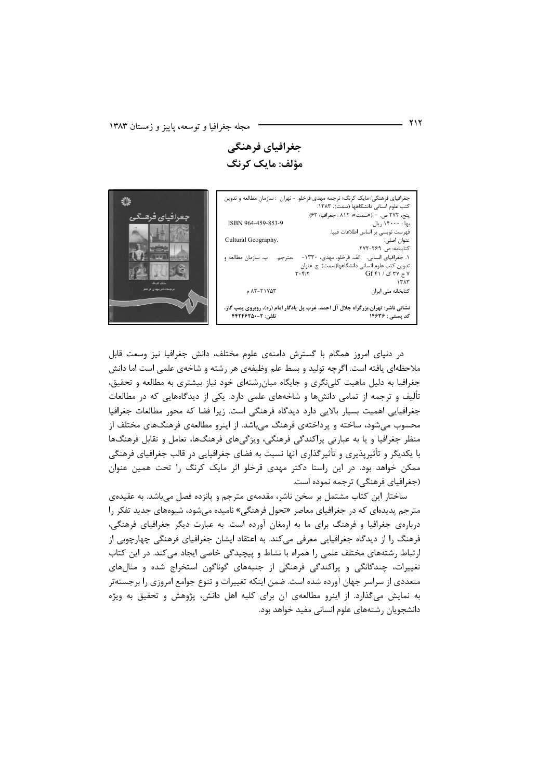جغرافیای فرهنگی مؤلف: مایک کرنگ

جغرافیای فرهنگی/ مایک کرنگ؛ ترجمه مهدی قرخلو. - تهران : سازمان مطالعه و تدوین كتب علوم انسانى دانشگاهها (سمت)، ۱۳۸۳. پنج، ٢٧٢ ص. – («سمت»؛ ٨١٢ : جغرافيا؛ ٤٢) ISBN 964-459-853-9 بهاً : ۱۴۰۰۰ ریال. ء - -<br>فهرست نويسي بر اساس اطلاعات فيپا. Cultural Geography. ۔ ۔<br>عنوان اصلی: ۔<br>کتابنامه: ص. ۲۶۹–۲۷۲. ١. جغرافياي انساني. الف. قرخلو، مهدي، ١٣٣٠- ،مترجم. ب. سازمان مطالعه و .<br>تدوین کتب علوم انسانی دانشگاهها(سمت). ج. عنوان  $Gff \cap JfV \neq V$  $\overline{r} \cdot \overline{r}$  $1571$  $AY-T1Y\Delta Y$ كتابخانه ملى ايران نشانی ناشر: تهران،بزرگراه جلال آل احمد، غرب پل یادگار امام (ره)، روبروی پمپ گاز، تلفن: ۴-۴۴۲۴۶۲۵۰ کد پستی : ۱۴۶۳۶



در دنیای امروز همگام با گسترش دامنهی علوم مختلف، دانش جغرافیا نیز وسعت قابل ملاحظهای یافته است. اگرچه تولید و بسط علم وظیفهی هر رشته و شاخهی علمی است اما دانش جغرافیا به دلیل ماهیت کلی نگری و جایگاه میان,شتهای خود نیاز بیشتری به مطالعه و تحقیق، تألیف و ترجمه از تمامی دانشها و شاخههای علمی دارد. یکی از دیدگاههایی که در مطالعات جغرافیایی اهمیت بسیار بالایی دارد دیدگاه فرهنگی است. زیرا فضا که محور مطالعات جغرافیا محسوب می شود، ساخته و پرداختهی فرهنگ می باشد. از اینرو مطالعهی فرهنگهای مختلف از منظر جغرافیا و یا به عبارتی پراکندگی فرهنگی، ویژگیهای فرهنگها، تعامل و تقابل فرهنگها با یکدیگر و تأثیرپذیری و تأثیرگذاری آنها نسبت به فضای جغرافیایی در قالب جغرافیای فرهنگی ممکن خواهد بود. در این راستا دکتر مهدی قرخلو اثر مایک کرنگ را تحت همین عنوان (جغرافیای فرهنگی) ترجمه نموده است.

ساختار این کتاب مشتمل بر سخن ناشر، مقدمهی مترجم و پانزده فصل میباشد. به عقیدهی مترجم پدیدهای که در جغرافیای معاصر «تحول فرهنگی» نامیده میشود، شیوههای جدید تفکر را دربارهی جغرافیا و فرهنگ برای ما به ارمغان آورده است. به عبارت دیگر جغرافیای فرهنگی، فرهنگ را از دیدگاه جغرافیایی معرفی می کند. به اعتقاد ایشان جغرافیای فرهنگی چهارچوبی از ارتباط رشتههای مختلف علمی را همراه با نشاط و پیچیدگی خاصی ایجاد می کند. در این کتاب تغییرات، چندگانگی و پراکندگی فرهنگی از جنبههای گوناگون استخراج شده و مثالهای متعددی از سراسر جهان آورده شده است. ضمن اینکه تغییرات و تنوع جوامع امروزی را برجستهتر به نمایش میگذارد. از اینرو مطالعهی آن برای کلیه اهل دانش، پژوهش و تحقیق به ویژه دانشجویان رشتههای علوم انسانی مفید خواهد بود.

۲۱۲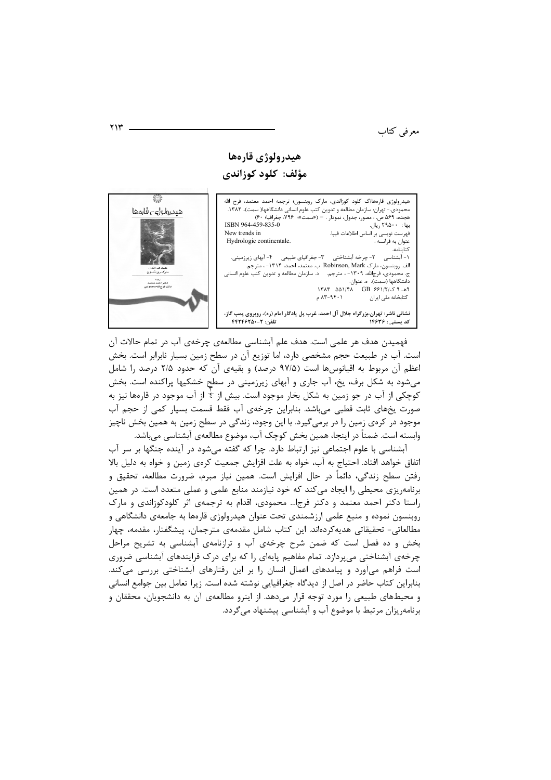معرفی کتاب

## هيدرولوژي قارەها مؤلف: كلود كوزاندي

.<br>هیدرولوژی قارهها/گ کلود کوزاندی، مارک روبنسون؛ ترجمه احمد معتمد، فرج الله محمودی.- تهران: سازمان مطالعه و تدوین کتب علوم انسانی دانشگاهها( سمت)، ١٣٨٣. هجده، ۵۶۹ ص. : مصور، جدول، نمودار . – («سمت»؛ ۷۹۶: جغرافيا: ۶۰) ISBN 964-459-835-0 بها : ۲۹۵۰۰ ریال. .<br>فهرست نویسی بر اساس اطلاعات فیپا.<br>عنوان به فرانسه : New trends in Hydrologie continentale. ج. محسومی مربی<br>دانشگاهها (سمت). ه. عنوان.<br>۹هـ ۹ ک/۲/۱۳ & ۵۵۱/۴۸ ـ ۱۳۸۳  $AT-9f+1$ م كتابخانه ملي ايران نشانی ناشر: تهران،بزرگراه جلال آل احمد، غرب پل یادگار امام (ره)، روبروی پمپ گاز، تلفن: ۴۴۲۴۶۲۵۰-۲ کد بسته. : ۱۴۶۳۶



فهمیدن هدف هر علمی است. هدف علم آبشناسی مطالعهی چرخهی آب در تمام حالات آن است. آب در طبیعت حجم مشخصی دارد، اما توزیع آن در سطح زمین بسیار نابرابر است. بخش اعظم آن مربوط به اقیانوسها است (۹۷/۵ درصد) و بقیهی آن که حدود ۲/۵ درصد را شامل میشود به شکل برف، یخ، آب جاری و آبهای زیرزمینی در سطح خشکیها پراکنده است. بخش کوچکی از آب در جو زمین به شکل بخار موجود است. بیش از  $\frac{1}{2}$  از آب موجود در قارهها نیز به صورت يخهاى ثابت قطبى مى باشد. بنابراين چرخەي آب فقط قسمت بسيار كمى از حجم آب موجود در کرەي زمين را در برمي¢يرد. با اين وجود، زندگي در سطح زمين به همين بخش ناچيز وابسته است. ضمناً در اينجا، همين بخش كوچک آب، موضوع مطالعهى آبشناسي ميباشد.

آبشناسی با علوم اجتماعی نیز ارتباط دارد. چرا که گفته می شود در آینده جنگها بر سر آب اتفاق خواهد افتاد. احتیاج به آب، خواه به علت افزایش جمعیت کرهی زمین و خواه به دلیل بالا رفتن سطح زندگی، دائماً در حال افزایش است. همین نیاز مبرم، ضرورت مطالعه، تحقیق و برنامهریزی محیطی را ایجاد می کند که خود نیازمند منابع علمی و عملی متعدد است. در همین راستا دکتر احمد معتمد و دکتر فرجا… محمودی، اقدام به ترجمهی اثر کلودکوزاندی و مارک روبنسون نموده و منبع علمی ارزشمندی تحت عنوان هیدرولوژی قارمها به جامعهی دانشگاهی و مطالعاتی- تحقیقاتی هدیه کردهاند. این کتاب شامل مقدمهی مترجمان، پیشگفتار، مقدمه، چهار بخش و ده فصل است که ضمن شرح چرخهی آب و ترازنامهی آبشناسی به تشریح مراحل چرخهی آبشناختی میپردازد. تمام مفاهیم پایهای را که برای درک فرایندهای آبشناسی ضروری است فراهم میآورد و پیامدهای اعمال انسان را بر این رفتارهای آبشناختی بررسی میکند. بنابراین کتاب حاضر در اصل از دیدگاه جغرافیایی نوشته شده است. زیرا تعامل بین جوامع انسانی و محیطهای طبیعی را مورد توجه قرار می دهد. از اینرو مطالعهی آن به دانشجویان، محققان و برنامه٫یزان مرتبط با موضوع آب و آبشناسی پیشنهاد می گردد.

 $YY'$